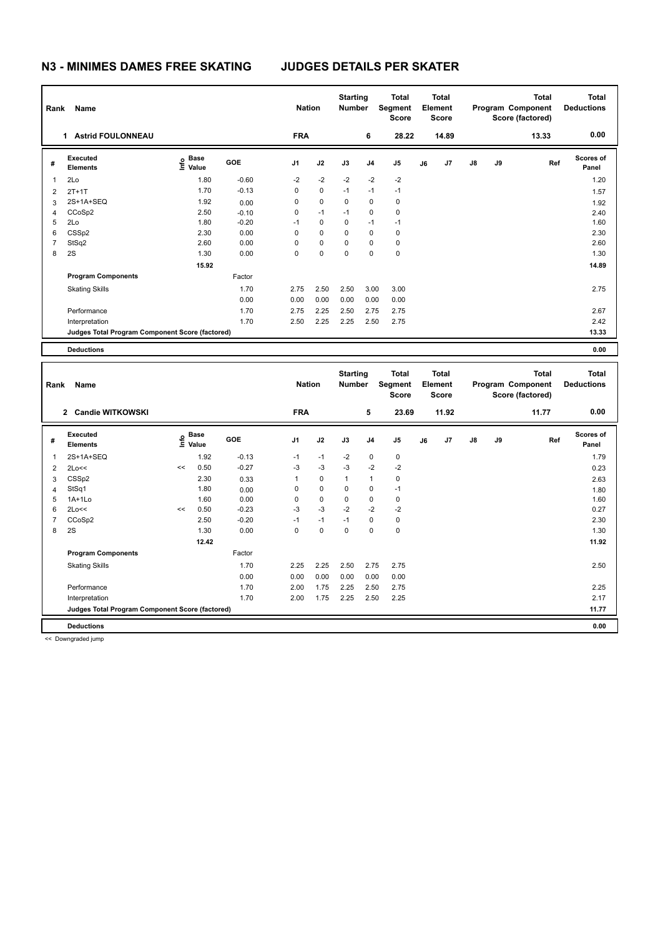### **N3 - MINIMES DAMES FREE SKATING JUDGES DETAILS PER SKATER**

| Rank           | Name                                            |                           | <b>Nation</b> |                | <b>Starting</b><br><b>Number</b> | Total<br>Segment<br><b>Score</b> | <b>Total</b><br>Element<br><b>Score</b> |                |    |       | Total<br>Program Component<br>Score (factored) | <b>Total</b><br><b>Deductions</b> |       |                           |
|----------------|-------------------------------------------------|---------------------------|---------------|----------------|----------------------------------|----------------------------------|-----------------------------------------|----------------|----|-------|------------------------------------------------|-----------------------------------|-------|---------------------------|
|                | <b>Astrid FOULONNEAU</b><br>1.                  |                           |               | <b>FRA</b>     |                                  |                                  | 6                                       | 28.22          |    | 14.89 |                                                |                                   | 13.33 | 0.00                      |
| #              | Executed<br><b>Elements</b>                     | Base<br>e Base<br>⊆ Value | GOE           | J <sub>1</sub> | J2                               | J3                               | J <sub>4</sub>                          | J <sub>5</sub> | J6 | J7    | $\mathsf{J}8$                                  | J9                                | Ref   | <b>Scores of</b><br>Panel |
| 1              | 2Lo                                             | 1.80                      | $-0.60$       | $-2$           | $-2$                             | $-2$                             | $-2$                                    | $-2$           |    |       |                                                |                                   |       | 1.20                      |
| $\overline{2}$ | $2T+1T$                                         | 1.70                      | $-0.13$       | 0              | $\mathbf 0$                      | $-1$                             | $-1$                                    | $-1$           |    |       |                                                |                                   |       | 1.57                      |
| 3              | 2S+1A+SEQ                                       | 1.92                      | 0.00          | 0              | $\mathbf 0$                      | $\Omega$                         | $\mathbf 0$                             | 0              |    |       |                                                |                                   |       | 1.92                      |
| 4              | CCoSp2                                          | 2.50                      | $-0.10$       | 0              | $-1$                             | $-1$                             | $\mathbf 0$                             | $\mathbf 0$    |    |       |                                                |                                   |       | 2.40                      |
| 5              | 2Lo                                             | 1.80                      | $-0.20$       | $-1$           | $\mathbf 0$                      | 0                                | $-1$                                    | $-1$           |    |       |                                                |                                   |       | 1.60                      |
| 6              | CSSp2                                           | 2.30                      | 0.00          | 0              | $\mathbf 0$                      | 0                                | $\mathbf 0$                             | 0              |    |       |                                                |                                   |       | 2.30                      |
| $\overline{7}$ | StSq2                                           | 2.60                      | 0.00          | 0              | 0                                | 0                                | 0                                       | 0              |    |       |                                                |                                   |       | 2.60                      |
| 8              | 2S                                              | 1.30                      | 0.00          | $\Omega$       | $\mathbf 0$                      | $\Omega$                         | 0                                       | $\pmb{0}$      |    |       |                                                |                                   |       | 1.30                      |
|                |                                                 | 15.92                     |               |                |                                  |                                  |                                         |                |    |       |                                                |                                   |       | 14.89                     |
|                | <b>Program Components</b>                       |                           | Factor        |                |                                  |                                  |                                         |                |    |       |                                                |                                   |       |                           |
|                | <b>Skating Skills</b>                           |                           | 1.70          | 2.75           | 2.50                             | 2.50                             | 3.00                                    | 3.00           |    |       |                                                |                                   |       | 2.75                      |
|                |                                                 |                           | 0.00          | 0.00           | 0.00                             | 0.00                             | 0.00                                    | 0.00           |    |       |                                                |                                   |       |                           |
|                | Performance                                     |                           | 1.70          | 2.75           | 2.25                             | 2.50                             | 2.75                                    | 2.75           |    |       |                                                |                                   |       | 2.67                      |
|                | Interpretation                                  |                           | 1.70          | 2.50           | 2.25                             | 2.25                             | 2.50                                    | 2.75           |    |       |                                                |                                   |       | 2.42                      |
|                | Judges Total Program Component Score (factored) |                           |               |                |                                  |                                  |                                         |                |    |       |                                                |                                   |       | 13.33                     |
|                | <b>Deductions</b>                               |                           |               |                |                                  |                                  |                                         |                |    |       |                                                |                                   |       | 0.00                      |

| Rank           | Name                                            |    | <b>Nation</b>                    |         | <b>Starting</b><br><b>Number</b> | <b>Total</b><br>Segment<br><b>Score</b> | <b>Total</b><br>Element<br><b>Score</b> |                |                |    | <b>Total</b><br>Program Component<br>Score (factored) | <b>Total</b><br><b>Deductions</b> |    |       |                           |
|----------------|-------------------------------------------------|----|----------------------------------|---------|----------------------------------|-----------------------------------------|-----------------------------------------|----------------|----------------|----|-------------------------------------------------------|-----------------------------------|----|-------|---------------------------|
|                | 2 Candie WITKOWSKI                              |    |                                  |         | <b>FRA</b>                       |                                         |                                         | 5              | 23.69          |    | 11.92                                                 |                                   |    | 11.77 | 0.00                      |
| #              | Executed<br><b>Elements</b>                     |    | <b>Base</b><br>e Base<br>E Value | GOE     | J <sub>1</sub>                   | J2                                      | J3                                      | J <sub>4</sub> | J <sub>5</sub> | J6 | J7                                                    | $\mathsf{J}8$                     | J9 | Ref   | <b>Scores of</b><br>Panel |
| $\mathbf{1}$   | 2S+1A+SEQ                                       |    | 1.92                             | $-0.13$ | $-1$                             | $-1$                                    | $-2$                                    | $\mathbf 0$    | 0              |    |                                                       |                                   |    |       | 1.79                      |
| $\overline{2}$ | 2Lo<<                                           | << | 0.50                             | $-0.27$ | $-3$                             | $-3$                                    | $-3$                                    | $-2$           | $-2$           |    |                                                       |                                   |    |       | 0.23                      |
| 3              | CSSp2                                           |    | 2.30                             | 0.33    |                                  | $\pmb{0}$                               | $\mathbf 1$                             | $\mathbf{1}$   | 0              |    |                                                       |                                   |    |       | 2.63                      |
| $\overline{4}$ | StSq1                                           |    | 1.80                             | 0.00    | 0                                | $\mathbf 0$                             | 0                                       | $\mathbf 0$    | $-1$           |    |                                                       |                                   |    |       | 1.80                      |
| 5              | $1A+1L0$                                        |    | 1.60                             | 0.00    | 0                                | $\mathbf 0$                             | $\mathbf 0$                             | $\mathbf 0$    | $\mathbf 0$    |    |                                                       |                                   |    |       | 1.60                      |
| 6              | 2Lo<<                                           | << | 0.50                             | $-0.23$ | $-3$                             | $-3$                                    | $-2$                                    | $-2$           | $-2$           |    |                                                       |                                   |    |       | 0.27                      |
| 7              | CCoSp2                                          |    | 2.50                             | $-0.20$ | $-1$                             | $-1$                                    | $-1$                                    | $\mathbf 0$    | 0              |    |                                                       |                                   |    |       | 2.30                      |
| 8              | 2S                                              |    | 1.30                             | 0.00    | 0                                | $\mathbf 0$                             | $\mathbf 0$                             | $\mathbf 0$    | 0              |    |                                                       |                                   |    |       | 1.30                      |
|                |                                                 |    | 12.42                            |         |                                  |                                         |                                         |                |                |    |                                                       |                                   |    |       | 11.92                     |
|                | <b>Program Components</b>                       |    |                                  | Factor  |                                  |                                         |                                         |                |                |    |                                                       |                                   |    |       |                           |
|                | <b>Skating Skills</b>                           |    |                                  | 1.70    | 2.25                             | 2.25                                    | 2.50                                    | 2.75           | 2.75           |    |                                                       |                                   |    |       | 2.50                      |
|                |                                                 |    |                                  | 0.00    | 0.00                             | 0.00                                    | 0.00                                    | 0.00           | 0.00           |    |                                                       |                                   |    |       |                           |
|                | Performance                                     |    |                                  | 1.70    | 2.00                             | 1.75                                    | 2.25                                    | 2.50           | 2.75           |    |                                                       |                                   |    |       | 2.25                      |
|                | Interpretation                                  |    |                                  | 1.70    | 2.00                             | 1.75                                    | 2.25                                    | 2.50           | 2.25           |    |                                                       |                                   |    |       | 2.17                      |
|                | Judges Total Program Component Score (factored) |    |                                  |         |                                  |                                         |                                         |                |                |    |                                                       |                                   |    |       | 11.77                     |
|                | <b>Deductions</b>                               |    |                                  |         |                                  |                                         |                                         |                |                |    |                                                       |                                   |    |       | 0.00                      |

<< Downgraded jump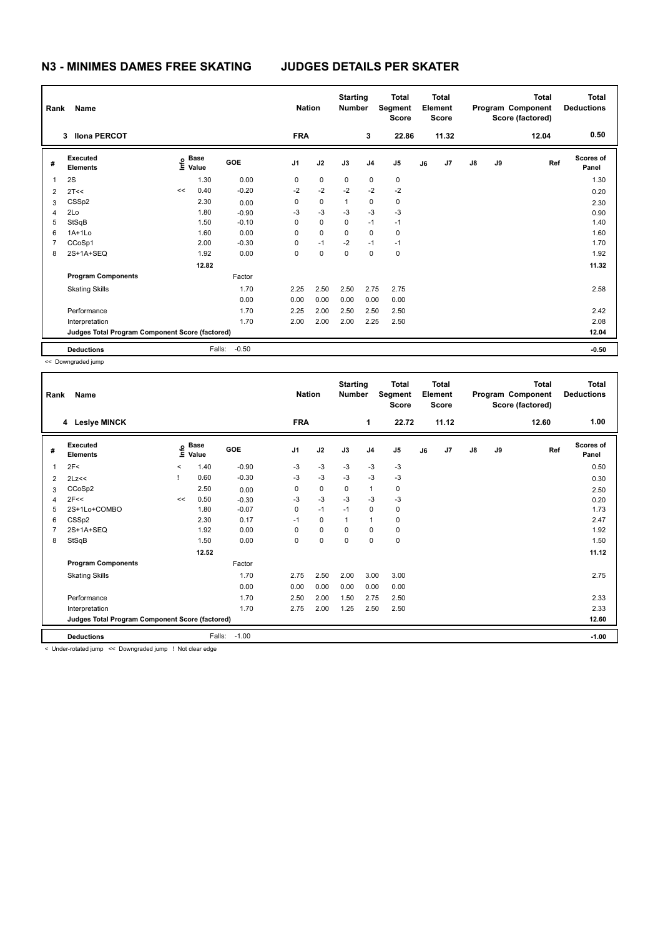# **N3 - MINIMES DAMES FREE SKATING JUDGES DETAILS PER SKATER**

| Name<br>Rank   |                                                 |    |                                  |         | <b>Nation</b>  |             | <b>Starting</b><br><b>Number</b> |                | <b>Total</b><br>Segment<br><b>Score</b> | Total<br>Element<br>Score |       |               |    | <b>Total</b><br>Program Component<br>Score (factored) | <b>Total</b><br><b>Deductions</b> |
|----------------|-------------------------------------------------|----|----------------------------------|---------|----------------|-------------|----------------------------------|----------------|-----------------------------------------|---------------------------|-------|---------------|----|-------------------------------------------------------|-----------------------------------|
|                | <b>Ilona PERCOT</b><br>3                        |    |                                  |         | <b>FRA</b>     |             |                                  | 3              | 22.86                                   |                           | 11.32 |               |    | 12.04                                                 | 0.50                              |
| #              | Executed<br><b>Elements</b>                     |    | <b>Base</b><br>e Base<br>⊆ Value | GOE     | J <sub>1</sub> | J2          | J3                               | J <sub>4</sub> | J <sub>5</sub>                          | J6                        | J7    | $\mathsf{J}8$ | J9 | Ref                                                   | <b>Scores of</b><br>Panel         |
| $\overline{1}$ | 2S                                              |    | 1.30                             | 0.00    | 0              | 0           | 0                                | 0              | 0                                       |                           |       |               |    |                                                       | 1.30                              |
| $\overline{2}$ | 2T<<                                            | << | 0.40                             | $-0.20$ | $-2$           | $-2$        | $-2$                             | $-2$           | $-2$                                    |                           |       |               |    |                                                       | 0.20                              |
| 3              | CSSp2                                           |    | 2.30                             | 0.00    | 0              | 0           | $\mathbf{1}$                     | 0              | 0                                       |                           |       |               |    |                                                       | 2.30                              |
| 4              | 2Lo                                             |    | 1.80                             | $-0.90$ | $-3$           | $-3$        | $-3$                             | $-3$           | $-3$                                    |                           |       |               |    |                                                       | 0.90                              |
| 5              | StSqB                                           |    | 1.50                             | $-0.10$ | 0              | $\mathbf 0$ | $\mathbf 0$                      | $-1$           | $-1$                                    |                           |       |               |    |                                                       | 1.40                              |
| 6              | $1A+1Lo$                                        |    | 1.60                             | 0.00    | 0              | $\mathbf 0$ | 0                                | $\mathbf 0$    | 0                                       |                           |       |               |    |                                                       | 1.60                              |
| 7              | CCoSp1                                          |    | 2.00                             | $-0.30$ | 0              | $-1$        | $-2$                             | $-1$           | $-1$                                    |                           |       |               |    |                                                       | 1.70                              |
| 8              | 2S+1A+SEQ                                       |    | 1.92                             | 0.00    | 0              | 0           | 0                                | 0              | 0                                       |                           |       |               |    |                                                       | 1.92                              |
|                |                                                 |    | 12.82                            |         |                |             |                                  |                |                                         |                           |       |               |    |                                                       | 11.32                             |
|                | <b>Program Components</b>                       |    |                                  | Factor  |                |             |                                  |                |                                         |                           |       |               |    |                                                       |                                   |
|                | <b>Skating Skills</b>                           |    |                                  | 1.70    | 2.25           | 2.50        | 2.50                             | 2.75           | 2.75                                    |                           |       |               |    |                                                       | 2.58                              |
|                |                                                 |    |                                  | 0.00    | 0.00           | 0.00        | 0.00                             | 0.00           | 0.00                                    |                           |       |               |    |                                                       |                                   |
|                | Performance                                     |    |                                  | 1.70    | 2.25           | 2.00        | 2.50                             | 2.50           | 2.50                                    |                           |       |               |    |                                                       | 2.42                              |
|                | Interpretation                                  |    |                                  | 1.70    | 2.00           | 2.00        | 2.00                             | 2.25           | 2.50                                    |                           |       |               |    |                                                       | 2.08                              |
|                | Judges Total Program Component Score (factored) |    |                                  |         |                |             |                                  |                |                                         |                           |       |               |    |                                                       | 12.04                             |
|                | <b>Deductions</b>                               |    | Falls:                           | $-0.50$ |                |             |                                  |                |                                         |                           |       |               |    |                                                       | $-0.50$                           |

<< Downgraded jump

| Rank | Name                                            |         | <b>Nation</b>              |         | <b>Starting</b><br><b>Number</b> | <b>Total</b><br>Segment<br>Score | Total<br>Element<br><b>Score</b> |                | Program Component |    | <b>Total</b><br>Score (factored) | <b>Total</b><br><b>Deductions</b> |    |       |                    |
|------|-------------------------------------------------|---------|----------------------------|---------|----------------------------------|----------------------------------|----------------------------------|----------------|-------------------|----|----------------------------------|-----------------------------------|----|-------|--------------------|
|      | 4 Lesiye MINCK                                  |         |                            |         | <b>FRA</b>                       |                                  |                                  | 1              | 22.72             |    | 11.12                            |                                   |    | 12.60 | 1.00               |
| #    | Executed<br><b>Elements</b>                     |         | e Base<br>E Value<br>Value | GOE     | J <sub>1</sub>                   | J2                               | J3                               | J <sub>4</sub> | J <sub>5</sub>    | J6 | J7                               | $\mathsf{J}8$                     | J9 | Ref   | Scores of<br>Panel |
| 1    | 2F<                                             | $\prec$ | 1.40                       | $-0.90$ | -3                               | $-3$                             | $-3$                             | $-3$           | $-3$              |    |                                  |                                   |    |       | 0.50               |
| 2    | 2Lz<<                                           | Ţ       | 0.60                       | $-0.30$ | -3                               | $-3$                             | $-3$                             | $-3$           | $-3$              |    |                                  |                                   |    |       | 0.30               |
| 3    | CCoSp2                                          |         | 2.50                       | 0.00    | 0                                | 0                                | 0                                | 1              | 0                 |    |                                  |                                   |    |       | 2.50               |
| 4    | 2F<<                                            | <<      | 0.50                       | $-0.30$ | -3                               | $-3$                             | $-3$                             | $-3$           | $-3$              |    |                                  |                                   |    |       | 0.20               |
| 5    | 2S+1Lo+COMBO                                    |         | 1.80                       | $-0.07$ | 0                                | $-1$                             | $-1$                             | 0              | 0                 |    |                                  |                                   |    |       | 1.73               |
| 6    | CSSp2                                           |         | 2.30                       | 0.17    | $-1$                             | 0                                | 1                                | $\mathbf{1}$   | 0                 |    |                                  |                                   |    |       | 2.47               |
| 7    | 2S+1A+SEQ                                       |         | 1.92                       | 0.00    | $\Omega$                         | $\mathbf 0$                      | $\Omega$                         | $\Omega$       | 0                 |    |                                  |                                   |    |       | 1.92               |
| 8    | StSqB                                           |         | 1.50                       | 0.00    | 0                                | $\pmb{0}$                        | 0                                | $\mathbf 0$    | 0                 |    |                                  |                                   |    |       | 1.50               |
|      |                                                 |         | 12.52                      |         |                                  |                                  |                                  |                |                   |    |                                  |                                   |    |       | 11.12              |
|      | <b>Program Components</b>                       |         |                            | Factor  |                                  |                                  |                                  |                |                   |    |                                  |                                   |    |       |                    |
|      | <b>Skating Skills</b>                           |         |                            | 1.70    | 2.75                             | 2.50                             | 2.00                             | 3.00           | 3.00              |    |                                  |                                   |    |       | 2.75               |
|      |                                                 |         |                            | 0.00    | 0.00                             | 0.00                             | 0.00                             | 0.00           | 0.00              |    |                                  |                                   |    |       |                    |
|      | Performance                                     |         |                            | 1.70    | 2.50                             | 2.00                             | 1.50                             | 2.75           | 2.50              |    |                                  |                                   |    |       | 2.33               |
|      | Interpretation                                  |         |                            | 1.70    | 2.75                             | 2.00                             | 1.25                             | 2.50           | 2.50              |    |                                  |                                   |    |       | 2.33               |
|      | Judges Total Program Component Score (factored) |         |                            |         |                                  |                                  |                                  |                |                   |    |                                  | 12.60                             |    |       |                    |
|      | <b>Deductions</b>                               |         | Falls:                     | $-1.00$ |                                  |                                  |                                  |                |                   |    |                                  |                                   |    |       | $-1.00$            |

< Under-rotated jump << Downgraded jump ! Not clear edge